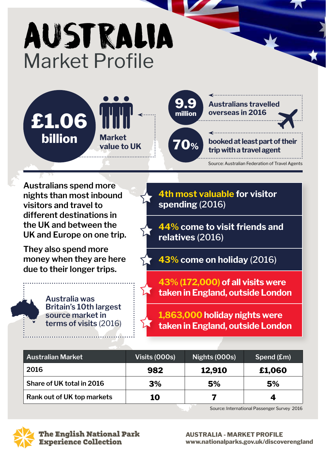# Australia Market Profile





**Australians spend more nights than most inbound visitors and travel to different destinations in the UK and between the UK and Europe on one trip.** 

**They also spend more money when they are here due to their longer trips.**

> **Australia was Britain's 10th largest source market in terms of visits** (2016)

**4th most valuable for visitor spending** (2016)

**44% come to visit friends and relatives** (2016)

**43% come on holiday** (2016)

**43% (172,000) of all visits were taken in England, outside London**

**1,863,000 holiday nights were taken in England, outside London**

| <b>Australian Market</b>   | Visits (000s) | Nights (000s) | Spend (£m) |
|----------------------------|---------------|---------------|------------|
| 2016                       | 982           | 12,910        | £1,060     |
| Share of UK total in 2016  | 3%            | 5%            | 5%         |
| Rank out of UK top markets | 10            |               |            |

Source: International Passenger Survey 2016



**AUSTRALIA - MARKET PROFILE www.nationalparks.gov.uk/discoverengland**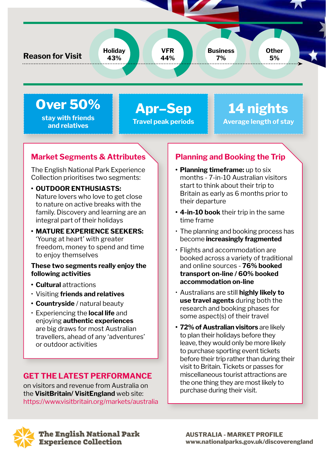**Reason for Visit Holiday**

**Over 50%** 

**stay with friends and relatives**

**Apr–Sep Travel peak periods**

**VFR 44%**

# **14 nights Average length of stay**

**Other 5%**

## **Market Segments & Attributes**

**43%**

The English National Park Experience Collection prioritises two segments:

**• OUTDOOR ENTHUSIASTS:**

Nature lovers who love to get close to nature on active breaks with the family. Discovery and learning are an integral part of their holidays

**• MATURE EXPERIENCE SEEKERS:** 'Young at heart' with greater freedom, money to spend and time to enjoy themselves

#### **These two segments really enjoy the following activities**

- **• Cultural** attractions
- Visiting **friends and relatives**
- **• Countryside** / natural beauty
- Experiencing the **local life** and enjoying **authentic experiences** are big draws for most Australian travellers, ahead of any 'adventures' or outdoor activities

### **GET THE LATEST PERFORMANCE**

on visitors and revenue from Australia on the **VisitBritain/ VisitEngland** web site: https://www.visitbritain.org/markets/australia

## **Planning and Booking the Trip**

**Business 7%**

- **• Planning timeframe:** up to six months - 7-in-10 Australian visitors start to think about their trip to Britain as early as 6 months prior to their departure
- **• 4-in-10 book** their trip in the same time frame
- The planning and booking process has become **increasingly fragmented**
- Flights and accommodation are booked across a variety of traditional and online sources - **76% booked transport on-line / 60% booked accommodation on-line**
- Australians are still **highly likely to use travel agents** during both the research and booking phases for some aspect(s) of their travel
- **• 72% of Australian visitors** are likely to plan their holidays before they leave, they would only be more likely to purchase sporting event tickets before their trip rather than during their visit to Britain. Tickets or passes for miscellaneous tourist attractions are the one thing they are most likely to purchase during their visit.

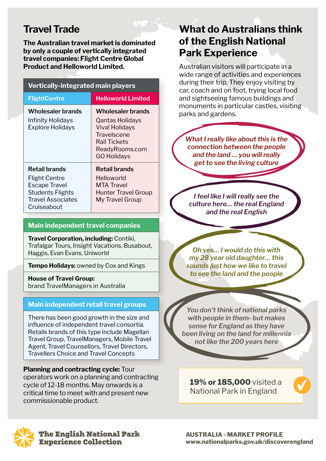# **Travel Trade**

**The Australian travel market is dominated by only a couple of vertically integrated travel companies: Flight Centre Global Product and Helloworld Limited.**

| <b>Vertically-integrated main players</b>                                                                                           |                                                                                                                               |  |  |
|-------------------------------------------------------------------------------------------------------------------------------------|-------------------------------------------------------------------------------------------------------------------------------|--|--|
| <b>FlightCentre</b>                                                                                                                 | <b>Helloworld Limited</b>                                                                                                     |  |  |
| Wholesaler brands<br>Infinity Holidays<br><b>Explore Holidays</b>                                                                   | Wholesaler brands<br>Qantas Holidays<br>Viva! Holidays<br>Travelscene<br>Rail Tickets<br>ReadyRooms.com<br><b>GO Holidays</b> |  |  |
| <b>Retail brands</b><br><b>Flight Centre</b><br><b>Escape Travel</b><br><b>Students Flights</b><br>Travel Associates<br>Cruiseabout | <b>Retail brands</b><br>Helloworld<br><b>MTA Travel</b><br><b>Hunter Travel Group</b><br>My Travel Group                      |  |  |

#### **Main independent travel companies**

**Travel Corporation, including:** Contiki, Trafalgar Tours, Insight Vacations, Busabout, Haggis, Evan Evans, Uniworld

**Tempo Holidays:** owned by Cox and Kings

**House of Travel Group:**  brand TravelManagers in Australia

#### **Main independent retail travel groups**

There has been good growth in the size and influence of independent travel consortia. Retails brands of this type include Magellan Travel Group, TravelManagers, Mobile Travel Agent, Travel Counsellors, Travel Directors, Travellers Choice and Travel Concepts

**Planning and contracting cycle:** Tour operators work on a planning and contracting cycle of 12-18 months. May onwards is a critical time to meet with and present new commissionable product.

## **What do Australians think of the English National Park Experience**

Australian visitors will participate in a wide range of activities and experiences during their trip. They enjoy visiting by car, coach and on foot, trying local food and sightseeing famous buildings and monuments in particular castles, visiting parks and gardens.

*What I really like about this is the connection between the people and the land … you will really get to see the living culture*

*I feel like I will really see the culture here… the real England and the real English*

*Oh yes… I would do this with my 28 year old daughter… this sounds just how we like to travel to see the land and the people*

*You don't think of national parks with people in them- but makes sense for England as they have been living on the land for millennia not like the 200 years here*

**19% or 185,000** visited a National Park in England